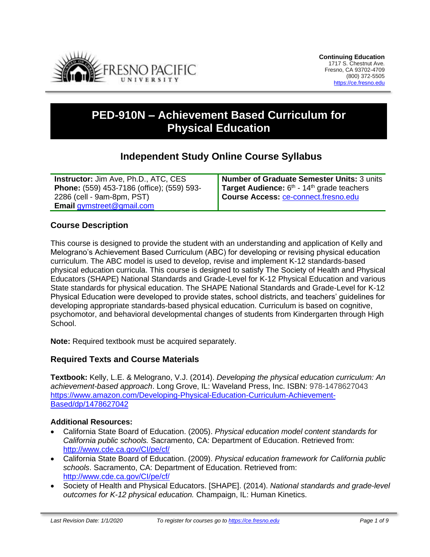

# **PED-910N – Achievement Based Curriculum for Physical Education**

# **Independent Study Online Course Syllabus**

| <b>Instructor:</b> Jim Ave, Ph.D., ATC, CES | Number of Graduate Semester Units: 3 units                      |
|---------------------------------------------|-----------------------------------------------------------------|
| Phone: (559) 453-7186 (office); (559) 593-  | <b>Target Audience:</b> $6th$ - 14 <sup>th</sup> grade teachers |
| 2286 (cell - 9am-8pm, PST)                  | <b>Course Access: ce-connect.fresno.edu</b>                     |
| <b>Email gymstreet@gmail.com</b>            |                                                                 |

## **Course Description**

This course is designed to provide the student with an understanding and application of Kelly and Melograno's Achievement Based Curriculum (ABC) for developing or revising physical education curriculum. The ABC model is used to develop, revise and implement K-12 standards-based physical education curricula. This course is designed to satisfy The Society of Health and Physical Educators (SHAPE) National Standards and Grade-Level for K-12 Physical Education and various State standards for physical education. The SHAPE National Standards and Grade-Level for K-12 Physical Education were developed to provide states, school districts, and teachers' guidelines for developing appropriate standards-based physical education. Curriculum is based on cognitive, psychomotor, and behavioral developmental changes of students from Kindergarten through High School.

**Note:** Required textbook must be acquired separately.

## **Required Texts and Course Materials**

**Textbook:** Kelly, L.E. & Melograno, V.J. (2014). *Developing the physical education curriculum: An achievement-based approach*. Long Grove, IL: Waveland Press, Inc. ISBN: 978-1478627043 [https://www.amazon.com/Developing-Physical-Education-Curriculum-Achievement-](https://www.amazon.com/Developing-Physical-Education-Curriculum-Achievement-Based/dp/1478627042)[Based/dp/1478627042](https://www.amazon.com/Developing-Physical-Education-Curriculum-Achievement-Based/dp/1478627042)

#### **Additional Resources:**

- California State Board of Education. (2005). *Physical education model content standards for California public schools.* Sacramento, CA: Department of Education. Retrieved from: <http://www.cde.ca.gov/CI/pe/cf/>
- California State Board of Education. (2009). *Physical education framework for California public schools*. Sacramento, CA: Department of Education. Retrieved from: <http://www.cde.ca.gov/CI/pe/cf/>
- Society of Health and Physical Educators. [SHAPE]. (2014). *National standards and grade-level outcomes for K-12 physical education.* Champaign, IL: Human Kinetics.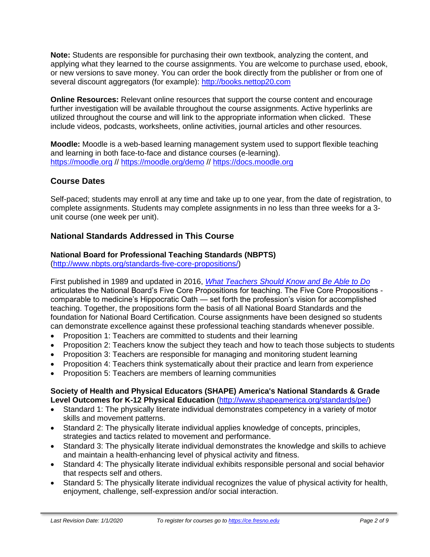**Note:** Students are responsible for purchasing their own textbook, analyzing the content, and applying what they learned to the course assignments. You are welcome to purchase used, ebook, or new versions to save money. You can order the book directly from the publisher or from one of several discount aggregators (for example): [http://books.nettop20.com](http://books.nettop20.com/)

**Online Resources:** Relevant online resources that support the course content and encourage further investigation will be available throughout the course assignments. Active hyperlinks are utilized throughout the course and will link to the appropriate information when clicked. These include videos, podcasts, worksheets, online activities, journal articles and other resources.

**Moodle:** Moodle is a web-based learning management system used to support flexible teaching and learning in both face-to-face and distance courses (e-learning). [https://moodle.org](https://moodle.org/) // <https://moodle.org/demo> // [https://docs.moodle.org](https://docs.moodle.org/)

# **Course Dates**

Self-paced; students may enroll at any time and take up to one year, from the date of registration, to complete assignments. Students may complete assignments in no less than three weeks for a 3 unit course (one week per unit).

## **National Standards Addressed in This Course**

# **National Board for Professional Teaching Standards (NBPTS)**

[\(http://www.nbpts.org/standards-five-core-propositions/\)](http://www.nbpts.org/standards-five-core-propositions/)

First published in 1989 and updated in 2016, *[What Teachers Should Know and Be Able to Do](http://www.accomplishedteacher.org/)* articulates the National Board's Five Core Propositions for teaching. The Five Core Propositions comparable to medicine's Hippocratic Oath — set forth the profession's vision for accomplished teaching. Together, the propositions form the basis of all National Board Standards and the foundation for National Board Certification. Course assignments have been designed so students can demonstrate excellence against these professional teaching standards whenever possible.

- Proposition 1: Teachers are committed to students and their learning
- Proposition 2: Teachers know the subject they teach and how to teach those subjects to students
- Proposition 3: Teachers are responsible for managing and monitoring student learning
- Proposition 4: Teachers think systematically about their practice and learn from experience
- Proposition 5: Teachers are members of learning communities

#### **Society of Health and Physical Educators (SHAPE) America's National Standards & Grade Level Outcomes for K-12 Physical Education** [\(http://www.shapeamerica.org/standards/pe/\)](http://www.shapeamerica.org/standards/pe/)

- Standard 1: The physically literate individual demonstrates competency in a variety of motor skills and movement patterns.
- Standard 2: The physically literate individual applies knowledge of concepts, principles, strategies and tactics related to movement and performance.
- Standard 3: The physically literate individual demonstrates the knowledge and skills to achieve and maintain a health-enhancing level of physical activity and fitness.
- Standard 4: The physically literate individual exhibits responsible personal and social behavior that respects self and others.
- Standard 5: The physically literate individual recognizes the value of physical activity for health, enjoyment, challenge, self-expression and/or social interaction.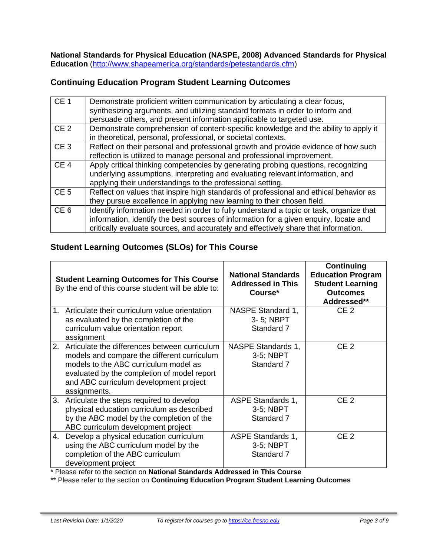**National Standards for Physical Education (NASPE, 2008) Advanced Standards for Physical Education** [\(http://www.shapeamerica.org/standards/petestandards.cfm\)](http://www.shapeamerica.org/standards/petestandards.cfm)

# **Continuing Education Program Student Learning Outcomes**

| CE <sub>1</sub> | Demonstrate proficient written communication by articulating a clear focus,<br>synthesizing arguments, and utilizing standard formats in order to inform and<br>persuade others, and present information applicable to targeted use.                                    |
|-----------------|-------------------------------------------------------------------------------------------------------------------------------------------------------------------------------------------------------------------------------------------------------------------------|
| CE <sub>2</sub> | Demonstrate comprehension of content-specific knowledge and the ability to apply it<br>in theoretical, personal, professional, or societal contexts.                                                                                                                    |
| CE <sub>3</sub> | Reflect on their personal and professional growth and provide evidence of how such<br>reflection is utilized to manage personal and professional improvement.                                                                                                           |
| CE <sub>4</sub> | Apply critical thinking competencies by generating probing questions, recognizing<br>underlying assumptions, interpreting and evaluating relevant information, and<br>applying their understandings to the professional setting.                                        |
| CE <sub>5</sub> | Reflect on values that inspire high standards of professional and ethical behavior as<br>they pursue excellence in applying new learning to their chosen field.                                                                                                         |
| CE <sub>6</sub> | Identify information needed in order to fully understand a topic or task, organize that<br>information, identify the best sources of information for a given enquiry, locate and<br>critically evaluate sources, and accurately and effectively share that information. |

# **Student Learning Outcomes (SLOs) for This Course**

|                | <b>Student Learning Outcomes for This Course</b><br>By the end of this course student will be able to:                                                                                                                                            | <b>National Standards</b><br><b>Addressed in This</b><br>Course* | Continuing<br><b>Education Program</b><br><b>Student Learning</b><br><b>Outcomes</b><br>Addressed** |
|----------------|---------------------------------------------------------------------------------------------------------------------------------------------------------------------------------------------------------------------------------------------------|------------------------------------------------------------------|-----------------------------------------------------------------------------------------------------|
| 1 <sub>1</sub> | Articulate their curriculum value orientation<br>as evaluated by the completion of the<br>curriculum value orientation report<br>assignment                                                                                                       | NASPE Standard 1,<br>3-5; NBPT<br>Standard 7                     | CE <sub>2</sub>                                                                                     |
|                | 2. Articulate the differences between curriculum<br>models and compare the different curriculum<br>models to the ABC curriculum model as<br>evaluated by the completion of model report<br>and ABC curriculum development project<br>assignments. | NASPE Standards 1,<br>3-5; NBPT<br>Standard 7                    | CE <sub>2</sub>                                                                                     |
|                | 3. Articulate the steps required to develop<br>physical education curriculum as described<br>by the ABC model by the completion of the<br>ABC curriculum development project                                                                      | ASPE Standards 1,<br>3-5; NBPT<br>Standard 7                     | CE <sub>2</sub>                                                                                     |
| 4.             | Develop a physical education curriculum<br>using the ABC curriculum model by the<br>completion of the ABC curriculum<br>development project                                                                                                       | <b>ASPE Standards 1,</b><br>3-5; NBPT<br>Standard 7              | CE <sub>2</sub>                                                                                     |

\* Please refer to the section on **National Standards Addressed in This Course**

\*\* Please refer to the section on **Continuing Education Program Student Learning Outcomes**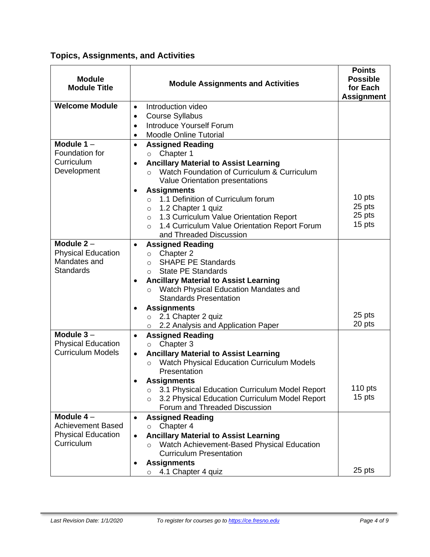# **Topics, Assignments, and Activities**

| <b>Module</b><br><b>Module Title</b>                                                                                                       | <b>Module Assignments and Activities</b>                                                                 | <b>Points</b><br><b>Possible</b><br>for Each<br><b>Assignment</b> |
|--------------------------------------------------------------------------------------------------------------------------------------------|----------------------------------------------------------------------------------------------------------|-------------------------------------------------------------------|
| <b>Welcome Module</b>                                                                                                                      | Introduction video<br>$\bullet$                                                                          |                                                                   |
|                                                                                                                                            | <b>Course Syllabus</b><br>$\bullet$                                                                      |                                                                   |
|                                                                                                                                            | Introduce Yourself Forum<br>$\bullet$                                                                    |                                                                   |
|                                                                                                                                            | <b>Moodle Online Tutorial</b><br>$\bullet$                                                               |                                                                   |
| Module $1 -$                                                                                                                               | <b>Assigned Reading</b><br>$\bullet$                                                                     |                                                                   |
| Foundation for<br>Curriculum                                                                                                               | Chapter 1<br>$\circ$                                                                                     |                                                                   |
| Development                                                                                                                                | <b>Ancillary Material to Assist Learning</b><br>$\bullet$<br>Watch Foundation of Curriculum & Curriculum |                                                                   |
|                                                                                                                                            | $\Omega$<br>Value Orientation presentations                                                              |                                                                   |
|                                                                                                                                            | <b>Assignments</b><br>$\bullet$                                                                          |                                                                   |
|                                                                                                                                            | 1.1 Definition of Curriculum forum<br>$\circ$                                                            | 10 pts                                                            |
|                                                                                                                                            | 1.2 Chapter 1 quiz<br>$\circ$                                                                            | 25 pts                                                            |
|                                                                                                                                            | 1.3 Curriculum Value Orientation Report<br>$\circ$                                                       | 25 pts                                                            |
|                                                                                                                                            | 1.4 Curriculum Value Orientation Report Forum<br>$\circ$                                                 | 15 pts                                                            |
|                                                                                                                                            | and Threaded Discussion                                                                                  |                                                                   |
| Module $2 -$                                                                                                                               | <b>Assigned Reading</b><br>$\bullet$                                                                     |                                                                   |
| <b>Physical Education</b><br>Mandates and                                                                                                  | Chapter 2<br>$\circ$<br><b>SHAPE PE Standards</b>                                                        |                                                                   |
| <b>Standards</b>                                                                                                                           | $\Omega$<br><b>State PE Standards</b><br>$\circ$                                                         |                                                                   |
|                                                                                                                                            | <b>Ancillary Material to Assist Learning</b><br>$\bullet$                                                |                                                                   |
|                                                                                                                                            | Watch Physical Education Mandates and<br>$\circ$                                                         |                                                                   |
|                                                                                                                                            | <b>Standards Presentation</b>                                                                            |                                                                   |
|                                                                                                                                            | <b>Assignments</b>                                                                                       |                                                                   |
|                                                                                                                                            | 2.1 Chapter 2 quiz<br>$\circ$                                                                            | 25 pts                                                            |
|                                                                                                                                            | 2.2 Analysis and Application Paper<br>$\circ$                                                            | 20 pts                                                            |
| Module $3 -$                                                                                                                               | <b>Assigned Reading</b><br>$\bullet$                                                                     |                                                                   |
| <b>Physical Education</b>                                                                                                                  | Chapter 3<br>$\circ$                                                                                     |                                                                   |
| <b>Curriculum Models</b>                                                                                                                   | <b>Ancillary Material to Assist Learning</b><br>$\bullet$                                                |                                                                   |
|                                                                                                                                            | Watch Physical Education Curriculum Models<br>$\circ$<br>Presentation                                    |                                                                   |
|                                                                                                                                            | <b>Assignments</b>                                                                                       |                                                                   |
|                                                                                                                                            | 3.1 Physical Education Curriculum Model Report<br>$\circ$                                                | $110$ pts                                                         |
|                                                                                                                                            | 3.2 Physical Education Curriculum Model Report<br>$\circ$                                                | 15 pts                                                            |
|                                                                                                                                            | Forum and Threaded Discussion                                                                            |                                                                   |
| Module $4-$                                                                                                                                | <b>Assigned Reading</b><br>$\bullet$                                                                     |                                                                   |
| <b>Achievement Based</b><br>Chapter 4<br>$\circ$<br><b>Physical Education</b><br><b>Ancillary Material to Assist Learning</b><br>$\bullet$ |                                                                                                          |                                                                   |
|                                                                                                                                            |                                                                                                          |                                                                   |
| Curriculum                                                                                                                                 | Watch Achievement-Based Physical Education<br>$\circ$                                                    |                                                                   |
|                                                                                                                                            | <b>Curriculum Presentation</b>                                                                           |                                                                   |
|                                                                                                                                            | <b>Assignments</b>                                                                                       | 25 pts                                                            |
|                                                                                                                                            | 4.1 Chapter 4 quiz<br>O                                                                                  |                                                                   |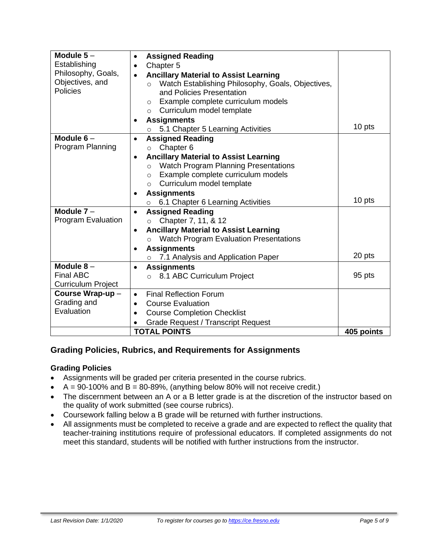| Module $5-$               | <b>Assigned Reading</b><br>$\bullet$                          |            |
|---------------------------|---------------------------------------------------------------|------------|
| Establishing              | Chapter <sub>5</sub><br>$\bullet$                             |            |
| Philosophy, Goals,        | <b>Ancillary Material to Assist Learning</b><br>$\bullet$     |            |
| Objectives, and           | Watch Establishing Philosophy, Goals, Objectives,<br>$\circ$  |            |
| <b>Policies</b>           | and Policies Presentation                                     |            |
|                           | Example complete curriculum models<br>$\circ$                 |            |
|                           | Curriculum model template<br>$\circ$                          |            |
|                           | <b>Assignments</b><br>$\bullet$                               |            |
|                           | 5.1 Chapter 5 Learning Activities                             | 10 pts     |
| Module $6-$               | <b>Assigned Reading</b>                                       |            |
| Program Planning          | Chapter 6<br>$\circ$                                          |            |
|                           | <b>Ancillary Material to Assist Learning</b><br>$\bullet$     |            |
|                           | <b>Watch Program Planning Presentations</b><br>$\circ$        |            |
|                           | Example complete curriculum models<br>$\circ$                 |            |
|                           | Curriculum model template<br>$\circ$                          |            |
|                           | <b>Assignments</b><br>$\bullet$                               | 10 pts     |
|                           | 6.1 Chapter 6 Learning Activities                             |            |
| Module $7 -$              | <b>Assigned Reading</b><br>$\bullet$                          |            |
| <b>Program Evaluation</b> | Chapter 7, 11, & 12<br>$\circ$                                |            |
|                           | <b>Ancillary Material to Assist Learning</b><br>$\bullet$     |            |
|                           | <b>Watch Program Evaluation Presentations</b><br>$\circ$      |            |
|                           | <b>Assignments</b>                                            |            |
|                           | 7.1 Analysis and Application Paper<br>$\circ$                 | 20 pts     |
| Module $8-$               | <b>Assignments</b><br>$\bullet$                               |            |
| <b>Final ABC</b>          | 8.1 ABC Curriculum Project<br>$\circ$                         | 95 pts     |
| <b>Curriculum Project</b> |                                                               |            |
|                           | Course Wrap-up-<br><b>Final Reflection Forum</b><br>$\bullet$ |            |
| Grading and               | <b>Course Evaluation</b><br>$\bullet$                         |            |
| Evaluation                | <b>Course Completion Checklist</b><br>$\bullet$               |            |
|                           | <b>Grade Request / Transcript Request</b>                     |            |
|                           | <b>TOTAL POINTS</b>                                           | 405 points |

# **Grading Policies, Rubrics, and Requirements for Assignments**

#### **Grading Policies**

- Assignments will be graded per criteria presented in the course rubrics.
- $A = 90-100\%$  and  $B = 80-89\%$ , (anything below 80% will not receive credit.)
- The discernment between an A or a B letter grade is at the discretion of the instructor based on the quality of work submitted (see course rubrics).
- Coursework falling below a B grade will be returned with further instructions.
- All assignments must be completed to receive a grade and are expected to reflect the quality that teacher-training institutions require of professional educators. If completed assignments do not meet this standard, students will be notified with further instructions from the instructor.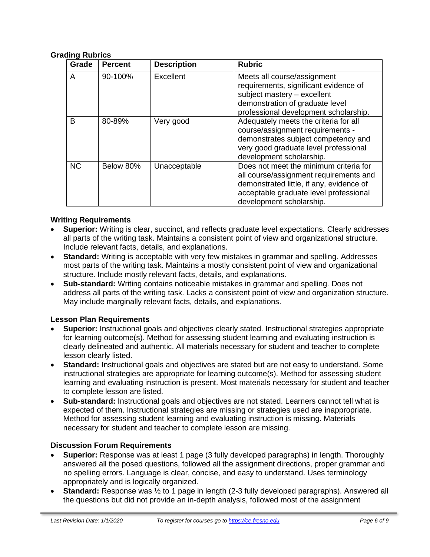#### **Grading Rubrics**

| Grade     | <b>Percent</b> | <b>Description</b> | <b>Rubric</b>                                                                                                                                                                                      |
|-----------|----------------|--------------------|----------------------------------------------------------------------------------------------------------------------------------------------------------------------------------------------------|
| A         | 90-100%        | Excellent          | Meets all course/assignment<br>requirements, significant evidence of<br>subject mastery - excellent<br>demonstration of graduate level<br>professional development scholarship.                    |
| В         | 80-89%         | Very good          | Adequately meets the criteria for all<br>course/assignment requirements -<br>demonstrates subject competency and<br>very good graduate level professional<br>development scholarship.              |
| <b>NC</b> | Below 80%      | Unacceptable       | Does not meet the minimum criteria for<br>all course/assignment requirements and<br>demonstrated little, if any, evidence of<br>acceptable graduate level professional<br>development scholarship. |

#### **Writing Requirements**

- **Superior:** Writing is clear, succinct, and reflects graduate level expectations. Clearly addresses all parts of the writing task. Maintains a consistent point of view and organizational structure. Include relevant facts, details, and explanations.
- **Standard:** Writing is acceptable with very few mistakes in grammar and spelling. Addresses most parts of the writing task. Maintains a mostly consistent point of view and organizational structure. Include mostly relevant facts, details, and explanations.
- **Sub-standard:** Writing contains noticeable mistakes in grammar and spelling. Does not address all parts of the writing task. Lacks a consistent point of view and organization structure. May include marginally relevant facts, details, and explanations.

#### **Lesson Plan Requirements**

- **Superior:** Instructional goals and objectives clearly stated. Instructional strategies appropriate for learning outcome(s). Method for assessing student learning and evaluating instruction is clearly delineated and authentic. All materials necessary for student and teacher to complete lesson clearly listed.
- **Standard:** Instructional goals and objectives are stated but are not easy to understand. Some instructional strategies are appropriate for learning outcome(s). Method for assessing student learning and evaluating instruction is present. Most materials necessary for student and teacher to complete lesson are listed.
- **Sub-standard:** Instructional goals and objectives are not stated. Learners cannot tell what is expected of them. Instructional strategies are missing or strategies used are inappropriate. Method for assessing student learning and evaluating instruction is missing. Materials necessary for student and teacher to complete lesson are missing.

#### **Discussion Forum Requirements**

- **Superior:** Response was at least 1 page (3 fully developed paragraphs) in length. Thoroughly answered all the posed questions, followed all the assignment directions, proper grammar and no spelling errors. Language is clear, concise, and easy to understand. Uses terminology appropriately and is logically organized.
- **Standard:** Response was ½ to 1 page in length (2-3 fully developed paragraphs). Answered all the questions but did not provide an in-depth analysis, followed most of the assignment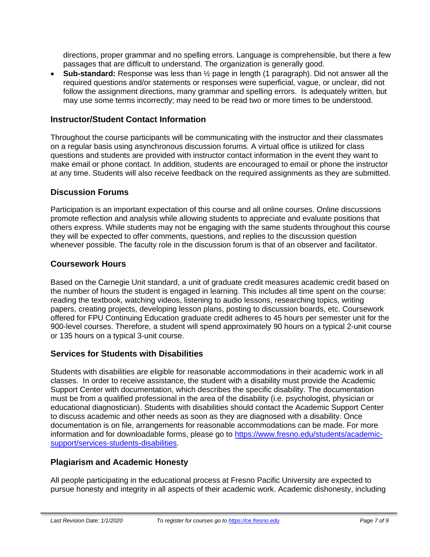directions, proper grammar and no spelling errors. Language is comprehensible, but there a few passages that are difficult to understand. The organization is generally good.

• **Sub-standard:** Response was less than ½ page in length (1 paragraph). Did not answer all the required questions and/or statements or responses were superficial, vague, or unclear, did not follow the assignment directions, many grammar and spelling errors. Is adequately written, but may use some terms incorrectly; may need to be read two or more times to be understood.

#### **Instructor/Student Contact Information**

Throughout the course participants will be communicating with the instructor and their classmates on a regular basis using asynchronous discussion forums. A virtual office is utilized for class questions and students are provided with instructor contact information in the event they want to make email or phone contact. In addition, students are encouraged to email or phone the instructor at any time. Students will also receive feedback on the required assignments as they are submitted.

### **Discussion Forums**

Participation is an important expectation of this course and all online courses. Online discussions promote reflection and analysis while allowing students to appreciate and evaluate positions that others express. While students may not be engaging with the same students throughout this course they will be expected to offer comments, questions, and replies to the discussion question whenever possible. The faculty role in the discussion forum is that of an observer and facilitator.

### **Coursework Hours**

Based on the Carnegie Unit standard, a unit of graduate credit measures academic credit based on the number of hours the student is engaged in learning. This includes all time spent on the course: reading the textbook, watching videos, listening to audio lessons, researching topics, writing papers, creating projects, developing lesson plans, posting to discussion boards, etc. Coursework offered for FPU Continuing Education graduate credit adheres to 45 hours per semester unit for the 900-level courses. Therefore, a student will spend approximately 90 hours on a typical 2-unit course or 135 hours on a typical 3-unit course.

## **Services for Students with Disabilities**

Students with disabilities are eligible for reasonable accommodations in their academic work in all classes. In order to receive assistance, the student with a disability must provide the Academic Support Center with documentation, which describes the specific disability. The documentation must be from a qualified professional in the area of the disability (i.e. psychologist, physician or educational diagnostician). Students with disabilities should contact the Academic Support Center to discuss academic and other needs as soon as they are diagnosed with a disability. Once documentation is on file, arrangements for reasonable accommodations can be made. For more information and for downloadable forms, please go to [https://www.fresno.edu/students/academic](https://www.fresno.edu/students/academic-support/services-students-disabilities)[support/services-students-disabilities.](https://www.fresno.edu/students/academic-support/services-students-disabilities)

## **Plagiarism and Academic Honesty**

All people participating in the educational process at Fresno Pacific University are expected to pursue honesty and integrity in all aspects of their academic work. Academic dishonesty, including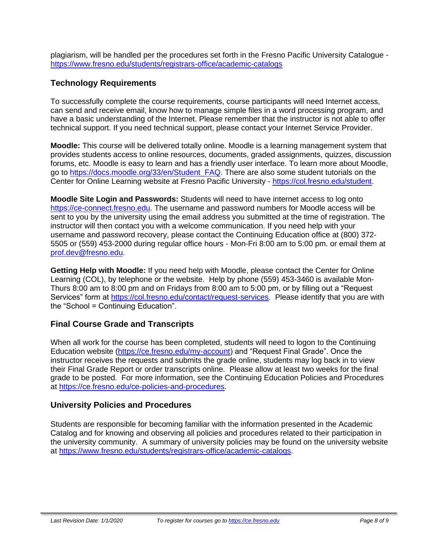plagiarism, will be handled per the procedures set forth in the Fresno Pacific University Catalogue <https://www.fresno.edu/students/registrars-office/academic-catalogs>

## **Technology Requirements**

To successfully complete the course requirements, course participants will need Internet access, can send and receive email, know how to manage simple files in a word processing program, and have a basic understanding of the Internet. Please remember that the instructor is not able to offer technical support. If you need technical support, please contact your Internet Service Provider.

**Moodle:** This course will be delivered totally online. Moodle is a learning management system that provides students access to online resources, documents, graded assignments, quizzes, discussion forums, etc. Moodle is easy to learn and has a friendly user interface. To learn more about Moodle, go to [https://docs.moodle.org/33/en/Student\\_FAQ.](https://docs.moodle.org/33/en/Student_FAQ) There are also some student tutorials on the Center for Online Learning website at Fresno Pacific University - [https://col.fresno.edu/student.](https://col.fresno.edu/student)

**Moodle Site Login and Passwords:** Students will need to have internet access to log onto [https://ce-connect.fresno.edu.](https://ce-connect.fresno.edu/) The username and password numbers for Moodle access will be sent to you by the university using the email address you submitted at the time of registration. The instructor will then contact you with a welcome communication. If you need help with your username and password recovery, please contact the Continuing Education office at (800) 372- 5505 or (559) 453-2000 during regular office hours - Mon-Fri 8:00 am to 5:00 pm. or email them at [prof.dev@fresno.edu.](mailto:prof.dev@fresno.edu)

**Getting Help with Moodle:** If you need help with Moodle, please contact the Center for Online Learning (COL), by telephone or the website. Help by phone (559) 453-3460 is available Mon-Thurs 8:00 am to 8:00 pm and on Fridays from 8:00 am to 5:00 pm, or by filling out a "Request Services" form at [https://col.fresno.edu/contact/request-services.](https://col.fresno.edu/contact/request-services) Please identify that you are with the "School = Continuing Education".

## **Final Course Grade and Transcripts**

When all work for the course has been completed, students will need to logon to the Continuing Education website [\(https://ce.fresno.edu/my-account\)](https://ce.fresno.edu/my-account) and "Request Final Grade". Once the instructor receives the requests and submits the grade online, students may log back in to view their Final Grade Report or order transcripts online. Please allow at least two weeks for the final grade to be posted. For more information, see the Continuing Education Policies and Procedures at [https://ce.fresno.edu/ce-policies-and-procedures.](https://ce.fresno.edu/ce-policies-and-procedures)

## **University Policies and Procedures**

Students are responsible for becoming familiar with the information presented in the Academic Catalog and for knowing and observing all policies and procedures related to their participation in the university community. A summary of university policies may be found on the university website at [https://www.fresno.edu/students/registrars-office/academic-catalogs.](https://www.fresno.edu/students/registrars-office/academic-catalogs)